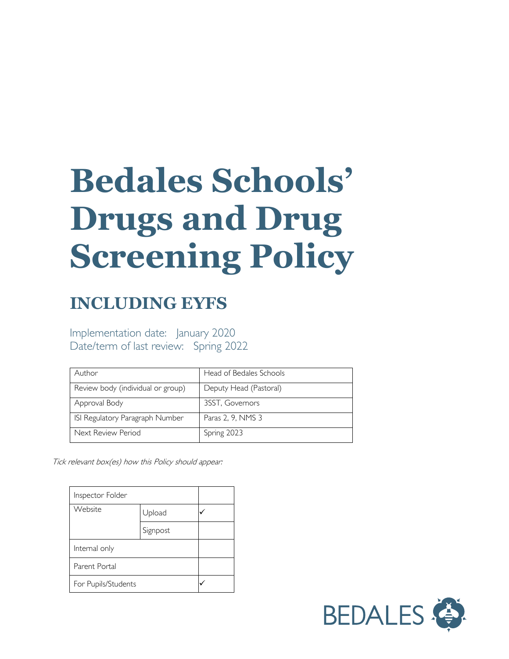# **Bedales Schools' Drugs and Drug Screening Policy**

# **INCLUDING EYFS**

Implementation date: January 2020 Date/term of last review: Spring 2022

| Author                            | Head of Bedales Schools |
|-----------------------------------|-------------------------|
| Review body (individual or group) | Deputy Head (Pastoral)  |
| Approval Body                     | 3SST, Governors         |
| ISI Regulatory Paragraph Number   | Paras 2, 9, NMS 3       |
| Next Review Period                | Spring 2023             |

Tick relevant box(es) how this Policy should appear:

| Inspector Folder    |          |  |
|---------------------|----------|--|
| Website             | Upload   |  |
|                     | Signpost |  |
| Internal only       |          |  |
| Parent Portal       |          |  |
| For Pupils/Students |          |  |

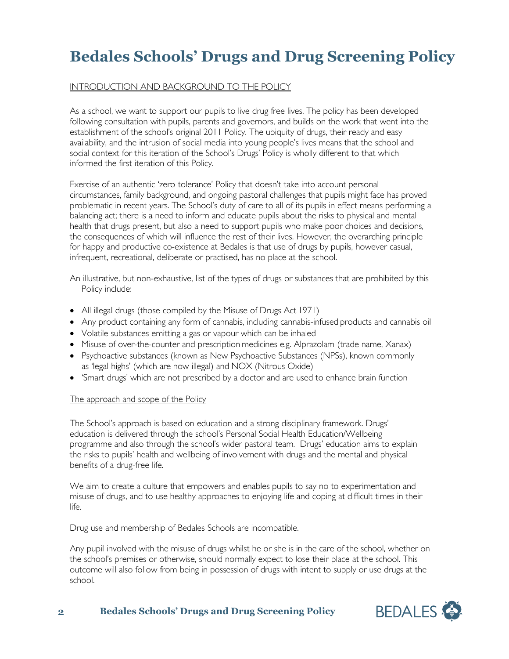# **Bedales Schools' Drugs and Drug Screening Policy**

#### INTRODUCTION AND BACKGROUND TO THE POLICY

As a school, we want to support our pupils to live drug free lives. The policy has been developed following consultation with pupils, parents and governors, and builds on the work that went into the establishment of the school's original 2011 Policy. The ubiquity of drugs, their ready and easy availability, and the intrusion of social media into young people's lives means that the school and social context for this iteration of the School's Drugs' Policy is wholly different to that which informed the first iteration of this Policy.

Exercise of an authentic 'zero tolerance' Policy that doesn't take into account personal circumstances, family background, and ongoing pastoral challenges that pupils might face has proved problematic in recent years. The School's duty of care to all of its pupils in effect means performing a balancing act; there is a need to inform and educate pupils about the risks to physical and mental health that drugs present, but also a need to support pupils who make poor choices and decisions, the consequences of which will influence the rest of their lives. However, the overarching principle for happy and productive co-existence at Bedales is that use of drugs by pupils, however casual, infrequent, recreational, deliberate or practised, has no place at the school.

An illustrative, but non-exhaustive, list of the types of drugs or substances that are prohibited by this Policy include:

- All illegal drugs (those compiled by the Misuse of Drugs Act 1971)
- Any product containing any form of cannabis, including cannabis-infused products and cannabis oil
- Volatile substances emitting a gas or vapour which can be inhaled
- Misuse of over-the-counter and prescription medicines e.g. Alprazolam (trade name, Xanax)
- Psychoactive substances (known as New Psychoactive Substances (NPSs), known commonly as 'legal highs' (which are now illegal) and NOX (Nitrous Oxide)
- 'Smart drugs' which are not prescribed by a doctor and are used to enhance brain function

#### The approach and scope of the Policy

The School's approach is based on education and a strong disciplinary framework. Drugs' education is delivered through the school's Personal Social Health Education/Wellbeing programme and also through the school's wider pastoral team. Drugs' education aims to explain the risks to pupils' health and wellbeing of involvement with drugs and the mental and physical benefits of a drug-free life.

We aim to create a culture that empowers and enables pupils to say no to experimentation and misuse of drugs, and to use healthy approaches to enjoying life and coping at difficult times in their life.

Drug use and membership of Bedales Schools are incompatible.

Any pupil involved with the misuse of drugs whilst he or she is in the care of the school, whether on the school's premises or otherwise, should normally expect to lose their place at the school. This outcome will also follow from being in possession of drugs with intent to supply or use drugs at the school.

**2 Bedales Schools' Drugs and Drug Screening Policy**

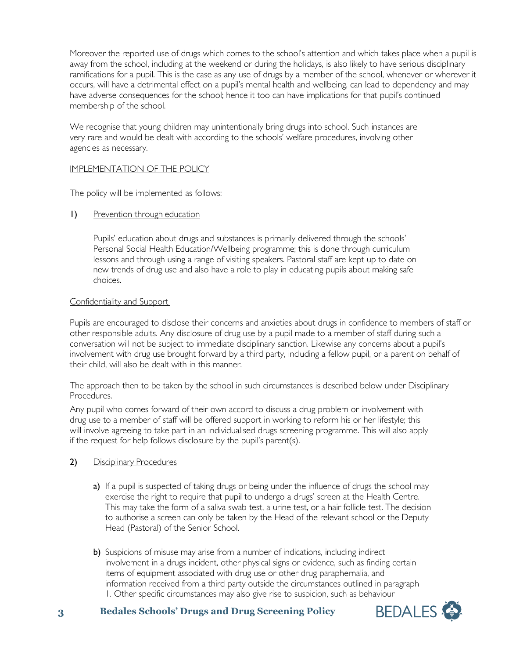Moreover the reported use of drugs which comes to the school's attention and which takes place when a pupil is away from the school, including at the weekend or during the holidays, is also likely to have serious disciplinary ramifications for a pupil. This is the case as any use of drugs by a member of the school, whenever or wherever it occurs, will have a detrimental effect on a pupil's mental health and wellbeing, can lead to dependency and may have adverse consequences for the school; hence it too can have implications for that pupil's continued membership of the school.

We recognise that young children may unintentionally bring drugs into school. Such instances are very rare and would be dealt with according to the schools' welfare procedures, involving other agencies as necessary.

#### IMPLEMENTATION OF THE POLICY

The policy will be implemented as follows:

1) Prevention through education

Pupils' education about drugs and substances is primarily delivered through the schools' Personal Social Health Education/Wellbeing programme; this is done through curriculum lessons and through using a range of visiting speakers. Pastoral staff are kept up to date on new trends of drug use and also have a role to play in educating pupils about making safe choices.

#### Confidentiality and Support

Pupils are encouraged to disclose their concerns and anxieties about drugs in confidence to members of staff or other responsible adults. Any disclosure of drug use by a pupil made to a member of staff during such a conversation will not be subject to immediate disciplinary sanction. Likewise any concerns about a pupil's involvement with drug use brought forward by a third party, including a fellow pupil, or a parent on behalf of their child, will also be dealt with in this manner.

The approach then to be taken by the school in such circumstances is described below under Disciplinary Procedures.

Any pupil who comes forward of their own accord to discuss a drug problem or involvement with drug use to a member of staff will be offered support in working to reform his or her lifestyle; this will involve agreeing to take part in an individualised drugs screening programme. This will also apply if the request for help follows disclosure by the pupil's parent(s).

## 2) Disciplinary Procedures

- a) If a pupil is suspected of taking drugs or being under the influence of drugs the school may exercise the right to require that pupil to undergo a drugs' screen at the Health Centre. This may take the form of a saliva swab test, a urine test, or a hair follicle test. The decision to authorise a screen can only be taken by the Head of the relevant school or the Deputy Head (Pastoral) of the Senior School.
- b) Suspicions of misuse may arise from a number of indications, including indirect involvement in a drugs incident, other physical signs or evidence, such as finding certain items of equipment associated with drug use or other drug paraphernalia, and information received from a third party outside the circumstances outlined in paragraph 1. Other specific circumstances may also give rise to suspicion, such as behaviour
- **3 Bedales Schools' Drugs and Drug Screening Policy**

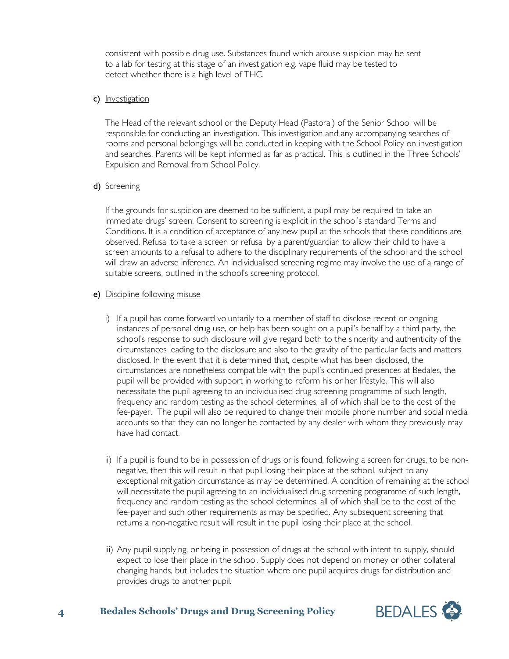consistent with possible drug use. Substances found which arouse suspicion may be sent to a lab for testing at this stage of an investigation e.g. vape fluid may be tested to detect whether there is a high level of THC.

#### c) Investigation

The Head of the relevant school or the Deputy Head (Pastoral) of the Senior School will be responsible for conducting an investigation. This investigation and any accompanying searches of rooms and personal belongings will be conducted in keeping with the School Policy on investigation and searches. Parents will be kept informed as far as practical. This is outlined in the Three Schools' Expulsion and Removal from School Policy.

#### d) Screening

If the grounds for suspicion are deemed to be sufficient, a pupil may be required to take an immediate drugs' screen. Consent to screening is explicit in the school's standard Terms and Conditions. It is a condition of acceptance of any new pupil at the schools that these conditions are observed. Refusal to take a screen or refusal by a parent/guardian to allow their child to have a screen amounts to a refusal to adhere to the disciplinary requirements of the school and the school will draw an adverse inference. An individualised screening regime may involve the use of a range of suitable screens, outlined in the school's screening protocol.

#### e) Discipline following misuse

- i) If a pupil has come forward voluntarily to a member of staff to disclose recent or ongoing instances of personal drug use, or help has been sought on a pupil's behalf by a third party, the school's response to such disclosure will give regard both to the sincerity and authenticity of the circumstances leading to the disclosure and also to the gravity of the particular facts and matters disclosed. In the event that it is determined that, despite what has been disclosed, the circumstances are nonetheless compatible with the pupil's continued presences at Bedales, the pupil will be provided with support in working to reform his or her lifestyle. This will also necessitate the pupil agreeing to an individualised drug screening programme of such length, frequency and random testing as the school determines, all of which shall be to the cost of the fee-payer. The pupil will also be required to change their mobile phone number and social media accounts so that they can no longer be contacted by any dealer with whom they previously may have had contact.
- ii) If a pupil is found to be in possession of drugs or is found, following a screen for drugs, to be nonnegative, then this will result in that pupil losing their place at the school, subject to any exceptional mitigation circumstance as may be determined. A condition of remaining at the school will necessitate the pupil agreeing to an individualised drug screening programme of such length, frequency and random testing as the school determines, all of which shall be to the cost of the fee-payer and such other requirements as may be specified. Any subsequent screening that returns a non-negative result will result in the pupil losing their place at the school.
- iii) Any pupil supplying, or being in possession of drugs at the school with intent to supply, should expect to lose their place in the school. Supply does not depend on money or other collateral changing hands, but includes the situation where one pupil acquires drugs for distribution and provides drugs to another pupil.

## **4 Bedales Schools' Drugs and Drug Screening Policy**

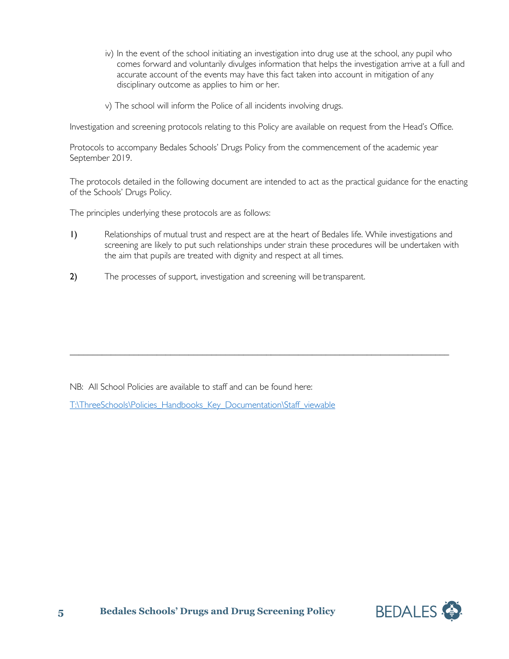- iv) In the event of the school initiating an investigation into drug use at the school, any pupil who comes forward and voluntarily divulges information that helps the investigation arrive at a full and accurate account of the events may have this fact taken into account in mitigation of any disciplinary outcome as applies to him or her.
- v) The school will inform the Police of all incidents involving drugs.

Investigation and screening protocols relating to this Policy are available on request from the Head's Office.

Protocols to accompany Bedales Schools' Drugs Policy from the commencement of the academic year September 2019.

The protocols detailed in the following document are intended to act as the practical guidance for the enacting of the Schools' Drugs Policy.

The principles underlying these protocols are as follows:

1) Relationships of mutual trust and respect are at the heart of Bedales life. While investigations and screening are likely to put such relationships under strain these procedures will be undertaken with the aim that pupils are treated with dignity and respect at all times.

\_\_\_\_\_\_\_\_\_\_\_\_\_\_\_\_\_\_\_\_\_\_\_\_\_\_\_\_\_\_\_\_\_\_\_\_\_\_\_\_\_\_\_\_\_\_\_\_\_\_\_\_\_\_\_\_\_\_\_\_\_\_\_\_\_\_\_\_\_\_\_\_\_\_\_\_\_\_\_\_\_\_\_

2) The processes of support, investigation and screening will be transparent.

NB: All School Policies are available to staff and can be found here:

[T:\ThreeSchools\Policies\\_Handbooks\\_Key\\_Documentation\Staff\\_viewable](file://vm-009-fs/root$/ThreeSchools/Policies_Handbooks_Key_Documentation/Staff_viewable)

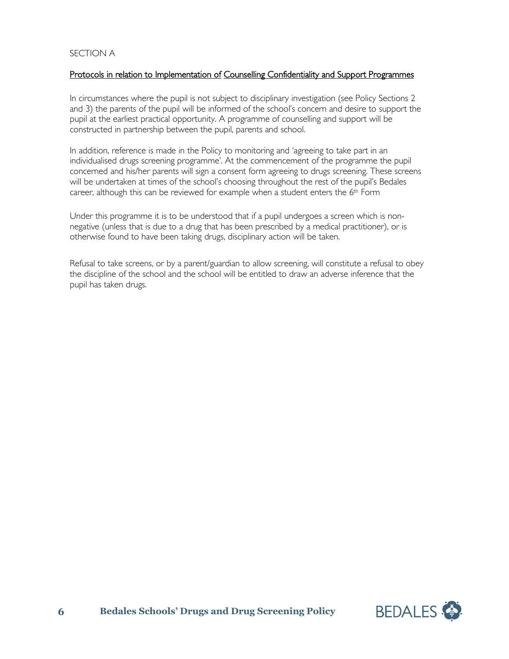#### SECTION A

#### Protocols in relation to Implementation of Counselling Confidentiality and Support Programmes

In circumstances where the pupil is not subject to disciplinary investigation (see Policy Sections 2 and 3) the parents of the pupil will be informed of the school's concern and desire to support the pupil at the earliest practical opportunity. A programme of counselling and support will be constructed in partnership between the pupil, parents and school.

In addition, reference is made in the Policy to monitoring and 'agreeing to take part in an individualised drugs screening programme'. At the commencement of the programme the pupil concerned and his/her parents will sign a consent form agreeing to drugs screening. These screens will be undertaken at times of the school's choosing throughout the rest of the pupil's Bedales career, although this can be reviewed for example when a student enters the 6<sup>th</sup> Form

Under this programme it is to be understood that if a pupil undergoes a screen which is nonnegative (unless that is due to a drug that has been prescribed by a medical practitioner), or is otherwise found to have been taking drugs, disciplinary action will be taken.

Refusal to take screens, or by a parent/guardian to allow screening, will constitute a refusal to obey the discipline of the school and the school will be entitled to draw an adverse inference that the pupil has taken drugs.

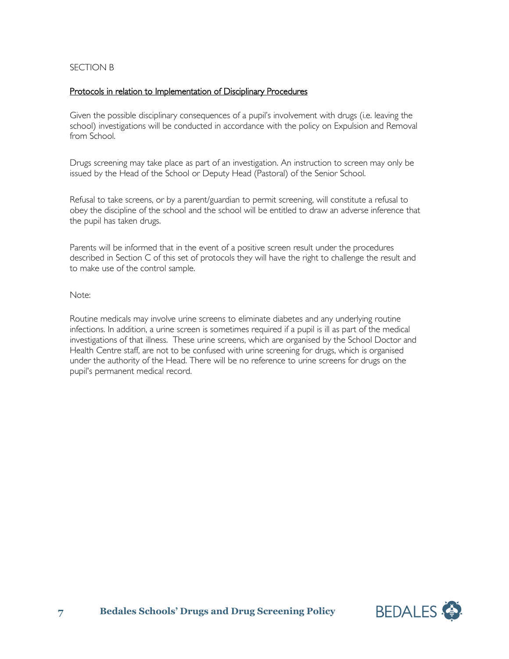#### SECTION B

#### Protocols in relation to Implementation of Disciplinary Procedures

Given the possible disciplinary consequences of a pupil's involvement with drugs (i.e. leaving the school) investigations will be conducted in accordance with the policy on Expulsion and Removal from School.

Drugs screening may take place as part of an investigation. An instruction to screen may only be issued by the Head of the School or Deputy Head (Pastoral) of the Senior School.

Refusal to take screens, or by a parent/guardian to permit screening, will constitute a refusal to obey the discipline of the school and the school will be entitled to draw an adverse inference that the pupil has taken drugs.

Parents will be informed that in the event of a positive screen result under the procedures described in Section C of this set of protocols they will have the right to challenge the result and to make use of the control sample.

#### Note:

Routine medicals may involve urine screens to eliminate diabetes and any underlying routine infections. In addition, a urine screen is sometimes required if a pupil is ill as part of the medical investigations of that illness. These urine screens, which are organised by the School Doctor and Health Centre staff, are not to be confused with urine screening for drugs, which is organised under the authority of the Head. There will be no reference to urine screens for drugs on the pupil's permanent medical record.

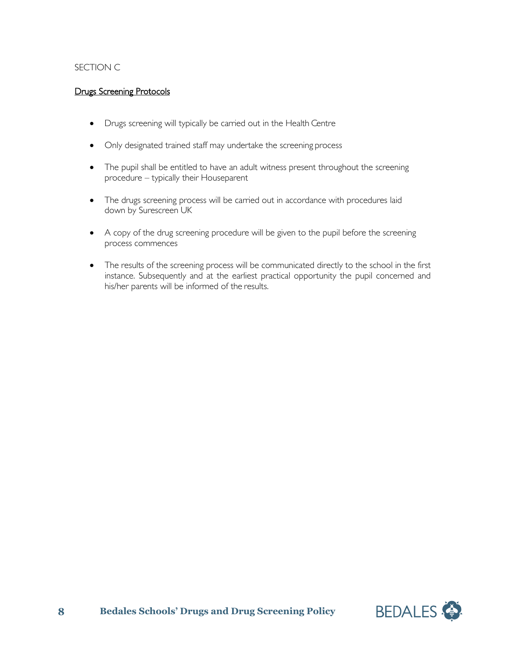## SECTION C

## Drugs Screening Protocols

- Drugs screening will typically be carried out in the Health Centre
- Only designated trained staff may undertake the screening process
- The pupil shall be entitled to have an adult witness present throughout the screening procedure – typically their Houseparent
- The drugs screening process will be carried out in accordance with procedures laid down by Surescreen UK
- A copy of the drug screening procedure will be given to the pupil before the screening process commences
- The results of the screening process will be communicated directly to the school in the first instance. Subsequently and at the earliest practical opportunity the pupil concerned and his/her parents will be informed of the results.

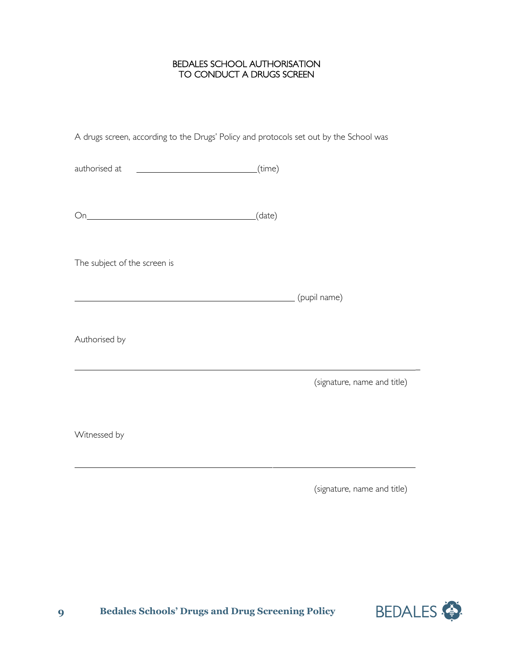#### BEDALES SCHOOL AUTHORISATION TO CONDUCT A DRUGS SCREEN

A drugs screen, according to the Drugs' Policy and protocols set out by the School was

authorised at (time)

On (date)

The subject of the screen is

(pupil name)

Authorised by

(signature, name and title)

Witnessed by

(signature, name and title)



\_